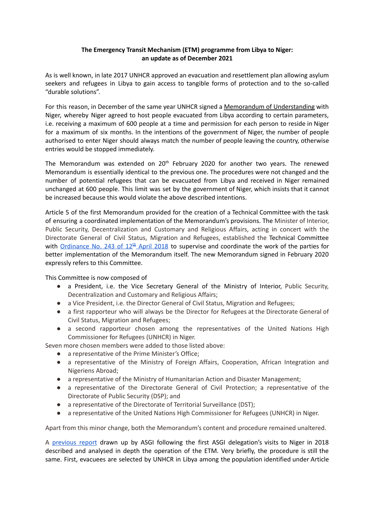## **The Emergency Transit Mechanism (ETM) programme from Libya to Niger: an update as of December 2021**

As is well known, in late 2017 UNHCR approved an evacuation and resettlement plan allowing asylum seekers and refugees in Libya to gain access to tangible forms of protection and to the so-called "durable solutions".

For this reason, in December of the same year UNHCR signed a Memorandum of [Understanding](https://www.asgi.it/wp-content/uploads/2019/05/memorandum_Niger_UNHCR.pdf) with Niger, whereby Niger agreed to host people evacuated from Libya according to certain parameters, i.e. receiving a maximum of 600 people at a time and permission for each person to reside in Niger for a maximum of six months. In the intentions of the government of Niger, the number of people authorised to enter Niger should always match the number of people leaving the country, otherwise entries would be stopped immediately.

The Memorandum was extended on 20<sup>th</sup> February 2020 for another two years. The renewed Memorandum is essentially identical to the previous one. The procedures were not changed and the number of potential refugees that can be evacuated from Libya and received in Niger remained unchanged at 600 people. This limit was set by the government of Niger, which insists that it cannot be increased because this would violate the above described intentions.

Article 5 of the first Memorandum provided for the creation of a Technical Committee with the task of ensuring a coordinated implementation of the Memorandum's provisions. The Minister of Interior, Public Security, Decentralization and Customary and Religious Affairs, acting in concert with the Directorate General of Civil Status, Migration and Refugees, established the Technical Committee with [Ordinance](https://sciabacaoruka.asgi.it/wp-content/uploads/2022/05/Arrete-243-1.pdf) No. 243 of 12<sup>th</sup> April 2018</u> to supervise and coordinate the work of the parties for better implementation of the Memorandum itself. The new Memorandum signed in February 2020 expressly refers to this Committee.

This Committee is now composed of

- a President, i.e. the Vice Secretary General of the Ministry of Interior, Public Security, Decentralization and Customary and Religious Affairs;
- a Vice President, i.e. the Director General of Civil Status, Migration and Refugees;
- a first rapporteur who will always be the Director for Refugees at the Directorate General of Civil Status, Migration and Refugees;
- a second rapporteur chosen among the representatives of the United Nations High Commissioner for Refugees (UNHCR) in Niger.

Seven more chosen members were added to those listed above:

- a representative of the Prime Minister's Office;
- a representative of the Ministry of Foreign Affairs, Cooperation, African Integration and Nigeriens Abroad;
- a representative of the Ministry of Humanitarian Action and Disaster Management;
- a representative of the Directorate General of Civil Protection; a representative of the Directorate of Public Security (DSP); and
- a representative of the Directorate of Territorial Surveillance (DST);
- a representative of the United Nations High Commissioner for Refugees (UNHCR) in Niger.

Apart from this minor change, both the Memorandum's content and procedure remained unaltered.

A [previous](https://www.asgi.it/33638-2/) report drawn up by ASGI following the first ASGI delegation's visits to Niger in 2018 described and analysed in depth the operation of the ETM. Very briefly, the procedure is still the same. First, evacuees are selected by UNHCR in Libya among the population identified under Article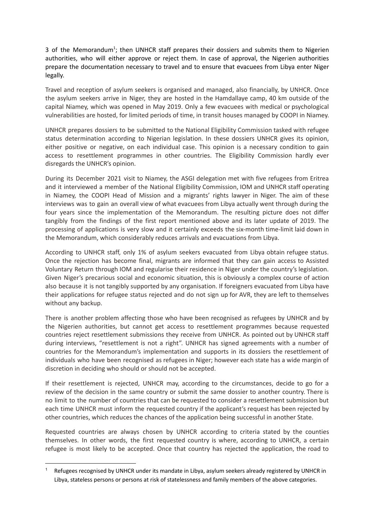3 of the Memorandum<sup>1</sup>; then UNHCR staff prepares their dossiers and submits them to Nigerien authorities, who will either approve or reject them. In case of approval, the Nigerien authorities prepare the documentation necessary to travel and to ensure that evacuees from Libya enter Niger legally.

Travel and reception of asylum seekers is organised and managed, also financially, by UNHCR. Once the asylum seekers arrive in Niger, they are hosted in the Hamdallaye camp, 40 km outside of the capital Niamey, which was opened in May 2019. Only a few evacuees with medical or psychological vulnerabilities are hosted, for limited periods of time, in transit houses managed by COOPI in Niamey.

UNHCR prepares dossiers to be submitted to the National Eligibility Commission tasked with refugee status determination according to Nigerian legislation. In these dossiers UNHCR gives its opinion, either positive or negative, on each individual case. This opinion is a necessary condition to gain access to resettlement programmes in other countries. The Eligibility Commission hardly ever disregards the UNHCR's opinion.

During its December 2021 visit to Niamey, the ASGI delegation met with five refugees from Eritrea and it interviewed a member of the National Eligibility Commission, IOM and UNHCR staff operating in Niamey, the COOPI Head of Mission and a migrants' rights lawyer in Niger. The aim of these interviews was to gain an overall view of what evacuees from Libya actually went through during the four years since the implementation of the Memorandum. The resulting picture does not differ tangibly from the findings of the first report mentioned above and its later update of 2019. The processing of applications is very slow and it certainly exceeds the six-month time-limit laid down in the Memorandum, which considerably reduces arrivals and evacuations from Libya.

According to UNHCR staff, only 1% of asylum seekers evacuated from Libya obtain refugee status. Once the rejection has become final, migrants are informed that they can gain access to Assisted Voluntary Return through IOM and regularise their residence in Niger under the country's legislation. Given Niger's precarious social and economic situation, this is obviously a complex course of action also because it is not tangibly supported by any organisation. If foreigners evacuated from Libya have their applications for refugee status rejected and do not sign up for AVR, they are left to themselves without any backup.

There is another problem affecting those who have been recognised as refugees by UNHCR and by the Nigerien authorities, but cannot get access to resettlement programmes because requested countries reject resettlement submissions they receive from UNHCR. As pointed out by UNHCR staff during interviews, "resettlement is not a right". UNHCR has signed agreements with a number of countries for the Memorandum's implementation and supports in its dossiers the resettlement of individuals who have been recognised as refugees in Niger; however each state has a wide margin of discretion in deciding who should or should not be accepted.

If their resettlement is rejected, UNHCR may, according to the circumstances, decide to go for a review of the decision in the same country or submit the same dossier to another country. There is no limit to the number of countries that can be requested to consider a resettlement submission but each time UNHCR must inform the requested country if the applicant's request has been rejected by other countries, which reduces the chances of the application being successful in another State.

Requested countries are always chosen by UNHCR according to criteria stated by the counties themselves. In other words, the first requested country is where, according to UNHCR, a certain refugee is most likely to be accepted. Once that country has rejected the application, the road to

Refugees recognised by UNHCR under its mandate in Libya, asylum seekers already registered by UNHCR in Libya, stateless persons or persons at risk of statelessness and family members of the above categories.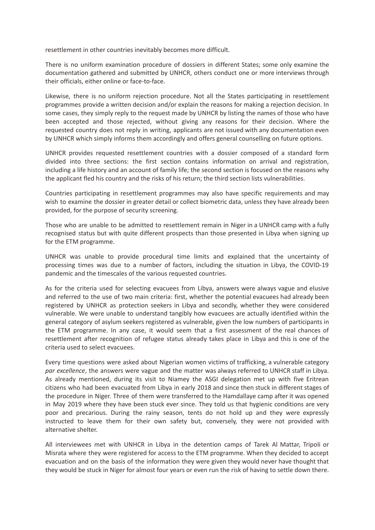resettlement in other countries inevitably becomes more difficult.

There is no uniform examination procedure of dossiers in different States; some only examine the documentation gathered and submitted by UNHCR, others conduct one or more interviews through their officials, either online or face-to-face.

Likewise, there is no uniform rejection procedure. Not all the States participating in resettlement programmes provide a written decision and/or explain the reasons for making a rejection decision. In some cases, they simply reply to the request made by UNHCR by listing the names of those who have been accepted and those rejected, without giving any reasons for their decision. Where the requested country does not reply in writing, applicants are not issued with any documentation even by UNHCR which simply informs them accordingly and offers general counselling on future options.

UNHCR provides requested resettlement countries with a dossier composed of a standard form divided into three sections: the first section contains information on arrival and registration, including a life history and an account of family life; the second section is focused on the reasons why the applicant fled his country and the risks of his return; the third section lists vulnerabilities.

Countries participating in resettlement programmes may also have specific requirements and may wish to examine the dossier in greater detail or collect biometric data, unless they have already been provided, for the purpose of security screening.

Those who are unable to be admitted to resettlement remain in Niger in a UNHCR camp with a fully recognised status but with quite different prospects than those presented in Libya when signing up for the ETM programme.

UNHCR was unable to provide procedural time limits and explained that the uncertainty of processing times was due to a number of factors, including the situation in Libya, the COVID-19 pandemic and the timescales of the various requested countries.

As for the criteria used for selecting evacuees from Libya, answers were always vague and elusive and referred to the use of two main criteria: first, whether the potential evacuees had already been registered by UNHCR as protection seekers in Libya and secondly, whether they were considered vulnerable. We were unable to understand tangibly how evacuees are actually identified within the general category of asylum seekers registered as vulnerable, given the low numbers of participants in the ETM programme. In any case, it would seem that a first assessment of the real chances of resettlement after recognition of refugee status already takes place in Libya and this is one of the criteria used to select evacuees.

Every time questions were asked about Nigerian women victims of trafficking, a vulnerable category *par excellence*, the answers were vague and the matter was always referred to UNHCR staff in Libya. As already mentioned, during its visit to Niamey the ASGI delegation met up with five Eritrean citizens who had been evacuated from Libya in early 2018 and since then stuck in different stages of the procedure in Niger. Three of them were transferred to the Hamdallaye camp after it was opened in May 2019 where they have been stuck ever since. They told us that hygienic conditions are very poor and precarious. During the rainy season, tents do not hold up and they were expressly instructed to leave them for their own safety but, conversely, they were not provided with alternative shelter.

All interviewees met with UNHCR in Libya in the detention camps of Tarek Al Mattar, Tripoli or Misrata where they were registered for access to the ETM programme. When they decided to accept evacuation and on the basis of the information they were given they would never have thought that they would be stuck in Niger for almost four years or even run the risk of having to settle down there.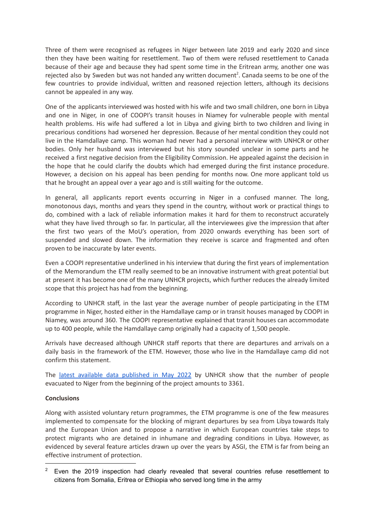Three of them were recognised as refugees in Niger between late 2019 and early 2020 and since then they have been waiting for resettlement. Two of them were refused resettlement to Canada because of their age and because they had spent some time in the Eritrean army, another one was rejected also by Sweden but was not handed any written document<sup>2</sup>. Canada seems to be one of the few countries to provide individual, written and reasoned rejection letters, although its decisions cannot be appealed in any way.

One of the applicants interviewed was hosted with his wife and two small children, one born in Libya and one in Niger, in one of COOPI's transit houses in Niamey for vulnerable people with mental health problems. His wife had suffered a lot in Libya and giving birth to two children and living in precarious conditions had worsened her depression. Because of her mental condition they could not live in the Hamdallaye camp. This woman had never had a personal interview with UNHCR or other bodies. Only her husband was interviewed but his story sounded unclear in some parts and he received a first negative decision from the Eligibility Commission. He appealed against the decision in the hope that he could clarify the doubts which had emerged during the first instance procedure. However, a decision on his appeal has been pending for months now. One more applicant told us that he brought an appeal over a year ago and is still waiting for the outcome.

In general, all applicants report events occurring in Niger in a confused manner. The long, monotonous days, months and years they spend in the country, without work or practical things to do, combined with a lack of reliable information makes it hard for them to reconstruct accurately what they have lived through so far. In particular, all the interviewees give the impression that after the first two years of the MoU's operation, from 2020 onwards everything has been sort of suspended and slowed down. The information they receive is scarce and fragmented and often proven to be inaccurate by later events.

Even a COOPI representative underlined in his interview that during the first years of implementation of the Memorandum the ETM really seemed to be an innovative instrument with great potential but at present it has become one of the many UNHCR projects, which further reduces the already limited scope that this project has had from the beginning.

According to UNHCR staff, in the last year the average number of people participating in the ETM programme in Niger, hosted either in the Hamdallaye camp or in transit houses managed by COOPI in Niamey, was around 360. The COOPI representative explained that transit houses can accommodate up to 400 people, while the Hamdallaye camp originally had a capacity of 1,500 people.

Arrivals have decreased although UNHCR staff reports that there are departures and arrivals on a daily basis in the framework of the ETM. However, those who live in the Hamdallaye camp did not confirm this statement.

The latest available data [published](https://reporting.unhcr.org/sites/default/files/Niger%20ETM%20Factsheet%20May%202021.pdf) in May 2022 by UNHCR show that the number of people evacuated to Niger from the beginning of the project amounts to 3361.

## **Conclusions**

Along with assisted voluntary return programmes, the ETM programme is one of the few measures implemented to compensate for the blocking of migrant departures by sea from Libya towards Italy and the European Union and to propose a narrative in which European countries take steps to protect migrants who are detained in inhumane and degrading conditions in Libya. However, as evidenced by several feature articles drawn up over the years by ASGI, the ETM is far from being an effective instrument of protection.

 $2^{\circ}$  Even the 2019 inspection had clearly revealed that several countries refuse resettlement to citizens from Somalia, Eritrea or Ethiopia who served long time in the army